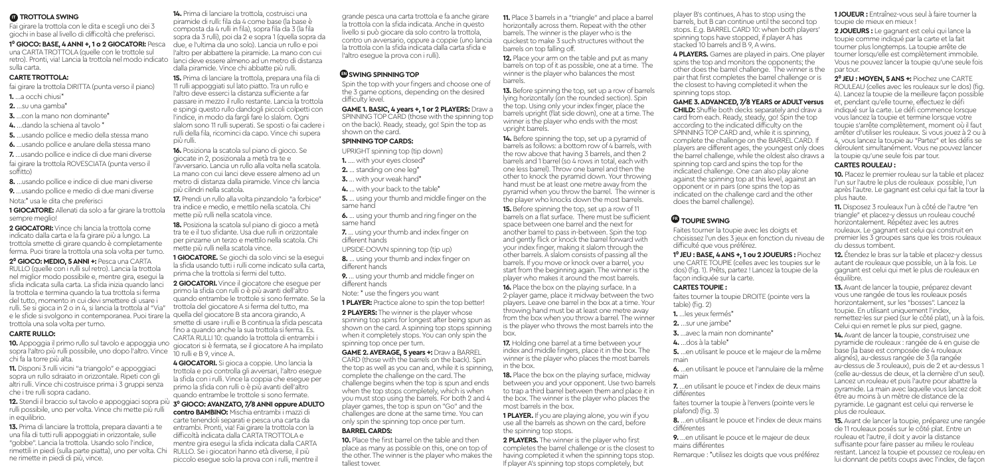## *<b>D* **TROTTOLA SWING**

Fai girare la trottola con le dita e scegli uno dei 3 giochi in base al livello di difficoltà che preferisci.

### **1⁰ GIOCO: BASE, 4 ANNI +, 1 o 2 GIOCATORI:** Pesca

una CARTA TROTTOLA (quelle con le trottole sul retro). Pronti, via! Lancia la trottola nel modo indicato lanci deve essere almeno ad un metro di distanza sulla carta.

## **CARTE TROTTOLA:**

- fai girare la trottola DIRITTA (punta verso il piano)
- **1.** …a occhi chiusi\*
- **2.** …su una gamba\*
- **3.** con la mano non dominante<sup>\*</sup>
- **4.** …dando la schiena al tavolo \*
- **5.** …usando pollice e medio della stessa mano
- **6.** …usando pollice e anulare della stessa mano
- **7.** …usando pollice e indice di due mani diverse fai girare la trottola ROVESCIATA (punta verso il soffitto)

**8.** …usando pollice e indice di due mani diverse **9.** …usando pollice e medio di due mani diverse

Nota:\* usa le dita che preferisci **1 GIOCATORE:** Allenati da solo a far girare la trottola

sempre meglio!

**2 GIOCATORI:** Vince chi lancia la trottola come indicato dalla carta e la fa girare più a lungo. La trottola smette di girare quando è completamente ferma. Puoi tirare la trottola una sola volta per turno.

**2⁰ GIOCO: MEDIO, 5 ANNI +:** Pesca una CARTA RULLO (quelle con i rulli sul retro). Lancia la trottola nel miglior modo possibile e, mentre gira, esegui la sfida indicata sulla carta. La sfida inizia quando lanci la trottola e termina quando la tua trottola si ferma del tutto, momento in cui devi smettere di usare i rulli. Se si gioca in 2 o in 4, si lancia la trottola al "Via" e le sfide si svolgono in contemporanea. Puoi tirare la trottola una sola volta per turno.

## **CARTE RULLO:**

**10.** Appoggia il primo rullo sul tavolo e appoggia uno sopra l'altro più rulli possibile, uno dopo l'altro. Vince chi fa la torre più alta.

**11.** Disponi 3 rulli vicini "a triangolo" e appoggiaci sopra un rullo sdraiato in orizzontale. Ripeti con gli altri rulli. Vince chi costruisce prima i 3 gruppi senza che i tre rulli sopra cadano.

**12.** Stendi il braccio sul tavolo e appoggiaci sopra più rulli possibile, uno per volta. Vince chi mette più rulli in equilibrio.

**13.** Prima di lanciare la trottola, prepara davanti a te una fila di tutti rulli appoggiati in orizzontale, sulle "gobbe". Lancia la trottola. Usando solo l'indice, rimettili in piedi (sulla parte piatta), uno per volta. Chi RULLO. Se i giocatori hanno età diverse, il più ne rimette in piedi di più, vince.

**14.** Prima di lanciare la trottola, costruisci una piramide di rulli: fila da 4 come base (la base è composta da 4 rulli in fila), sopra fila da 3 (la fila sopra da 3 rulli), poi da 2 e sopra 1 (quella sopra da due, e l'ultima da uno solo). Lancia un rullo e poi l'altro per abbattere la piramide. La mano con cui dalla piramide. Vince chi abbatte più rulli.

**15.** Prima di lanciare la trottola, prepara una fila di 11 rulli appoggiati sul lato piatto. Tra un rullo e l'altro deve esserci la distanza sufficiente a far passare in mezzo il rullo restante. Lancia la trottola e spingi questo rullo dandogli piccoli colpetti con l'indice, in modo da fargli fare lo slalom. Ogni slalom sono 11 rulli superati. Se sposti o fai cadere i rulli della fila, ricominci da capo. Vince chi supera più rulli.

**16.** Posiziona la scatola sul piano di gioco. Se giocate in 2, posizionala a metà tra te e l'avversario. Lancia un rullo alla volta nella scatola. La mano con cui lanci deve essere almeno ad un metro di distanza dalla piramide. Vince chi lancia più cilindri nella scatola.

**17.** Prendi un rullo alla volta pinzandolo "a forbice" tra indice e medio, e mettilo nella scatola. Chi mette più rulli nella scatola vince.

**18.** Posiziona la scatola sul piano di gioco a metà tra te e il tuo sfidante. Usa due rulli in orizzontale per pinzarne un terzo e mettilo nella scatola. Chi mette più rulli nella scatola vince.

**1 GIOCATORE.** Se giochi da solo vinci se la esegui la sfida usando tutti i rulli come indicato sulla carta, prima che la trottola si fermi del tutto.

**2 GIOCATORI.** Vince il giocatore che esegue per primo la sfida con rulli o è più avanti dell'altro quando entrambe le trottole si sono fermate. Se la trottola del giocatore A si ferma del tutto, ma quella del giocatore B sta ancora girando, A smette di usare i rulli e B continua la sfida pescata fino a quando anche la sua trottola si ferma. Es. CARTA RULLI 10: quando la trottola di entrambi i giocatori si è fermata, se il giocatore A ha impilato

10 rulli e B 9, vince A. **4 GIOCATORI.** Si gioca a coppie. Uno lancia la

trottola e poi controlla gli avversari, l'altro esegue la sfida con i rulli. Vince la coppia che esegue per primo la sfida con rulli o è più avanti dell'altro quando entrambe le trottole si sono fermate.

# **3⁰ GIOCO: AVANZATO, 7/8 ANNI oppure ADULTO**

**contro BAMBINO:** Mischia entrambi i mazzi di carte tenendoli separati e pesca una carta da entrambi. Pronti, via! Fai girare la trottola con la difficoltà indicata dalla CARTA TROTTOLA e mentre gira esegui la sfida indicata dalla CARTA piccolo esegue solo la prova con i rulli, mentre il grande pesca una carta trottola e fa anche girare la trottola con la sfida indicata. Anche in questo livello si può giocare da solo contro la trottola, contro un avversario, oppure a coppie (uno lancia la trottola con la sfida indicata dalla carta sfida e l'altro esegue la prova con i rulli).

# **ED** SWING SPINNING TOP

Spin the top with your fingers and choose one of the 3 game options, depending on the desired difficulty level.

**GAME 1. BASIC, 4 years +, 1 or 2 PLAYERS:** Draw a SPINNING TOP CARD (those with the spinning top on the back). Ready, steady, go! Spin the top as shown on the card.

## **SPINNING TOP CARDS:**

UPRIGHT spinning top (tip down)

- **1.** .... with your eves closed<sup>\*</sup>
- **2.** ... standing on one leg\*
- **3.** ... with your weak hand\*
- **4.** ... with your back to the table\*

**5.** ... using your thumb and middle finger on the same hand

- **6.** ... using your thumb and ring finger on the same hand
- **7.** ... using your thumb and index finger on different hands
- UPSIDE-DOWN spinning top (tip up)
- **8.** ... using your thumb and index finger on different hands
- **9.** ... using your thumb and middle finger on different hands
- Note: \* use the fingers you want
- **1 PLAYER:** Practice alone to spin the top better!

2 PLAYERS: The winner is the player whose spinning top spins for longest after being spun as shown on the card. A spinning top stops spinning when it completely stops. You can only spin the spinning top once per turn.

**GAME 2. AVERAGE, 5 years +:** Draw a BARREL CARD (those with the barrels on the back). Spin the top as well as you can and, while it is spinning, complete the challenge on the card. The challenge begins when the top is spun and ends when the top stops completely, which is when you must stop using the barrels. For both 2 and 4 player games, the top is spun on "Go" and the challenges are done at the same time. You can only spin the spinning top once per turn. **BARREL CARDS:** 

**10.** Place the first barrel on the table and then place as many as possible on this, one on top of the other. The winner is the player who makes the tallest tower.

**11.** Place 3 barrels in a "triangle" and place a barrel horizontally across them. Repeat with the other barrels. The winner is the player who is the quickest to make 3 such structures without the barrels on top falling off.

**12.** Place your arm on the table and put as many barrels on top of it as possible, one at a time. The winner is the player who balances the most barrels.

**13.** Before spinning the top, set up a row of barrels lying horizontally (on the rounded section). Spin the top. Using only your index finger, place the barrels upright (flat side down), one at a time. The winner is the player who ends with the most upright barrels.

**14.** Before spinning the top, set up a pyramid of barrels as follows: a bottom row of 4 barrels, with the row above that having 3 barrels, and then 2 barrels and 1 barrel (so 4 rows in total, each with one less barrel). Throw one barrel and then the other to knock the pyramid down. Your throwing hand must be at least one metre away from the pyramid when you throw the barrel. The winner is the player who knocks down the most barrels.

**15.** Before spinning the top, set up a row of 11 barrels on a flat surface. There must be sufficient space between one barrel and the next for another barrel to pass in-between. Spin the top and gently flick or knock the barrel forward with your index finger, making it slalom through the other barrels. A slalom consists of passing all the barrels. If you move or knock over a barrel, you start from the beginning again. The winner is the player who makes it around the most barrels.

**16.** Place the box on the playing surface. In a 2-player game, place it midway between the two players. Leave one barrel in the box at a time. Your throwing hand must be at least one metre away from the box when you throw a barrel. The winner is the player who throws the most barrels into the box.

**17.** Holding one barrel at a time between your index and middle fingers, place it in the box. The winner is the player who places the most barrels in the box.

**18.** Place the box on the playing surface, midway between you and your opponent. Use two barrels to trap a third barrel between them and place it in the box. The winner is the player who places the most barrels in the box.

**1 PLAYER.** If you are playing alone, you win if you use all the barrels as shown on the card, before the spinning top stops.

**2 PLAYERS.** The winner is the player who first completes the barrel challenge or is the closest to having completed it when the spinning tops stop. If player A's spinning top stops completely, but

player B's continues, A has to stop using the barrels, but B can continue until the second top stops. E.g. BARREL CARD 10: when both players' spinning tops have stopped, if player A has stacked 10 barrels and B 9, A wins.

**4 PLAYERS.** Games are played in pairs. One player spins the top and monitors the opponents; the other does the barrel challenge. The winner is the pair that first completes the barrel challenge or is the closest to having completed it when the spinning tops stop.

#### **GAME 3. ADVANCED, 7/8 YEARS or ADULT versus**

**CHILD:** Shuffle both decks separately and draw a card from each. Ready, steady, go! Spin the top according to the indicated difficulty on the SPINNING TOP CARD and, while it is spinning, complete the challenge on the BARREL CARD. If players are different ages, the youngest only does the barrel challenge, while the oldest also draws a spinning top card and spins the top for the indicated challenge. One can also play alone against the spinning top at this level, against an opponent or in pairs (one spins the top as indicated on the challenge card and the other does the barrel challenge).

# **ED** TOUPIE SWING

Faites tourner la toupie avec les doigts et choisissez l'un des 3 jeux en fonction du niveau de difficulté que vous préférez.

**1⁰ JEU : BASE, 4 ANS +, 1 ou 2 JOUEURS :** Piochez une CARTE TOUPIE (celles avec les toupies sur le dos) (fig. 1). Prêts, partez ! Lancez la toupie de la facon indiquée sur la carte.

#### **CARTES TOUPIE :**

faites tourner la toupie DROITE (pointe vers la table) (fig. 2)

- **1.** …les yeux fermés\*
- **2.** …sur une jambe\*
	- **3.** …avec la main non dominante\*
	- **4.** …dos à la table\*

**5.** …en utilisant le pouce et le majeur de la même main

**6.** …en utilisant le pouce et l'annulaire de la même main

**7.** …en utilisant le pouce et l'index de deux mains différentes

- faites tourner la toupie à l'envers (pointe vers le plafond) (fig. 3)
- **8.** …en utilisant le pouce et l'index de deux mains différentes

**9.** …en utilisant le pouce et le majeur de deux mains différentes

Remarque : \*utilisez les doigts que vous préférez

**1 JOUEUR :** Entraînez-vous seul à faire tourner la toupie de mieux en mieux !

**2 JOUEURS :** Le gagnant est celui qui lance la toupie comme indiqué par la carte et la fait tourner plus longtemps. La toupie arrête de tourner lorsqu'elle est complètement immobile. Vous ne pouvez lancer la toupie qu'une seule fois par tour.

**2⁰ JEU : MOYEN, 5 ANS +:** Piochez une CARTE ROULEAU (celles avec les rouleaux sur le dos) (fig. 4). Lancez la toupie de la meilleure façon possible et, pendant qu'elle tourne, effectuez le défi indiqué sur la carte. Le défi commence lorsque vous lancez la toupie et termine lorsque votre toupie s'arrête complètement, moment où il faut arrêter d'utiliser les rouleaux. Si vous jouez à 2 ou à 4, vous lancez la toupie au "Partez" et les défis se déroulent simultanément. Vous ne pouvez lancer la toupie qu'une seule fois par tour.

### **CARTES ROULEAU :**

**10.** Placez le premier rouleau sur la table et placez l'un sur l'autre le plus de rouleaux possible, l'un après l'autre. Le gagnant est celui qui fait la tour la plus haute.

**11.** Disposez 3 rouleaux l'un à côté de l'autre "en triangle" et placez-y dessus un rouleau couché horizontalement. Répétez avec les autres rouleaux. Le gagnant est celui qui construit en premier les 3 groupes sans que les trois rouleaux du dessus tombent.

**12.** Étendez le bras sur la table et placez-y dessus autant de rouleaux que possible, un à la fois. Le gagnant est celui qui met le plus de rouleaux en équilibre.

**13.** Avant de lancer la toupie, préparez devant vous une rangée de tous les rouleaux posés horizontalement, sur les "bosses". Lancez la toupie. En utilisant uniquement l'index, remettez-les sur pied (sur le côté plat), un à la fois. Celui qui en remet le plus sur pied, gagne.

**14.** Avant de lancer la toupie, construisez une pyramide de rouleaux : rangée de 4 en guise de base (la base est composée de 4 rouleaux alignés), au-dessus rangée de 3 (la rangée au-dessus de 3 rouleaux), puis de 2 et au-dessus 1 (celle au-dessus de deux, et la dernière d'un seul). Lancez un rouleau et puis l'autre pour abattre la pyramide. La main avec laquelle vous lancez doit être au moins à un mètre de distance de la pyramide. Le gagnant est celui qui renverse le plus de rouleaux.

**15.** Avant de lancer la toupie, préparez une rangée de 11 rouleaux posés sur le côté plat. Entre un rouleau et l'autre, il doit y avoir la distance suffisante pour faire passer au milieu le rouleau restant. Lancez la toupie et poussez ce rouleau en lui donnant de petits coups avec l'index, de façon